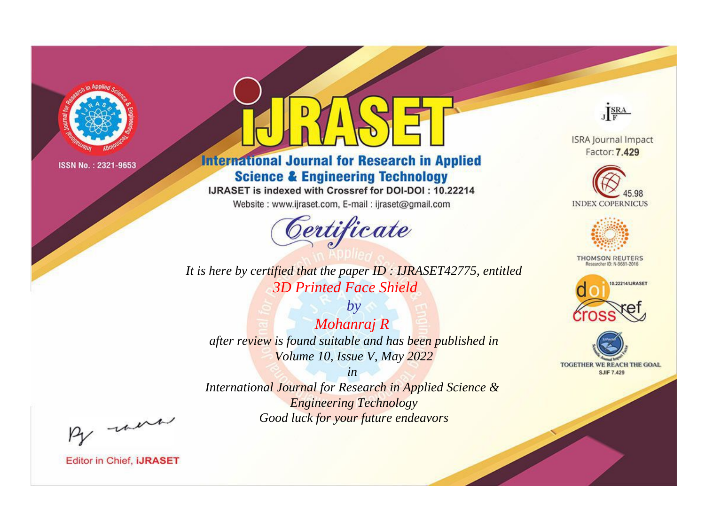

# **International Journal for Research in Applied Science & Engineering Technology**

IJRASET is indexed with Crossref for DOI-DOI: 10.22214

Website: www.ijraset.com, E-mail: ijraset@gmail.com



*It is here by certified that the paper ID : IJRASET42775, entitled 3D Printed Face Shield*

*by Mohanraj R after review is found suitable and has been published in Volume 10, Issue V, May 2022*

*in International Journal for Research in Applied Science & Engineering Technology Good luck for your future endeavors*



**ISRA Journal Impact** Factor: 7.429





**THOMSON REUTERS** 





By morn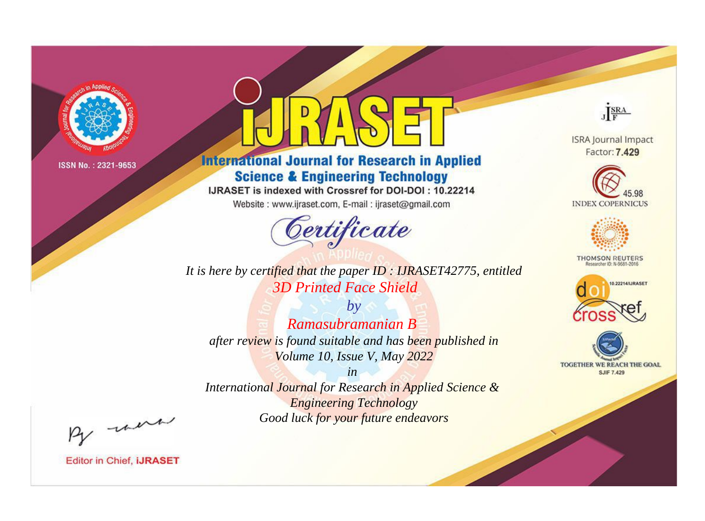

# **International Journal for Research in Applied Science & Engineering Technology**

IJRASET is indexed with Crossref for DOI-DOI: 10.22214

Website: www.ijraset.com, E-mail: ijraset@gmail.com



**ISRA Journal Impact** Factor: 7.429

JERA

**INDEX COPERNICUS** 



**THOMSON REUTERS** 



TOGETHER WE REACH THE GOAL **SJIF 7.429** 

*It is here by certified that the paper ID : IJRASET42775, entitled 3D Printed Face Shield*

*by Ramasubramanian B after review is found suitable and has been published in Volume 10, Issue V, May 2022*

*in* 

*International Journal for Research in Applied Science & Engineering Technology Good luck for your future endeavors*

By morn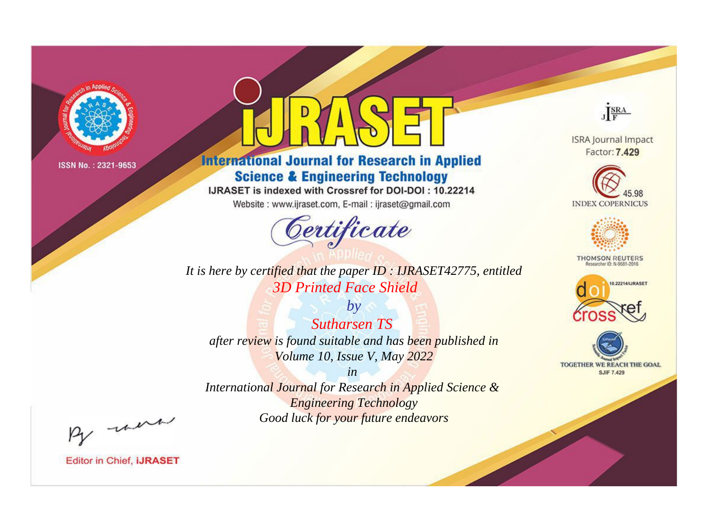

# **International Journal for Research in Applied Science & Engineering Technology**

IJRASET is indexed with Crossref for DOI-DOI: 10.22214

Website: www.ijraset.com, E-mail: ijraset@gmail.com



*It is here by certified that the paper ID : IJRASET42775, entitled 3D Printed Face Shield*

*by Sutharsen TS after review is found suitable and has been published in Volume 10, Issue V, May 2022*

*in International Journal for Research in Applied Science & Engineering Technology Good luck for your future endeavors*



**ISRA Journal Impact** Factor: 7.429





**THOMSON REUTERS** 





By morn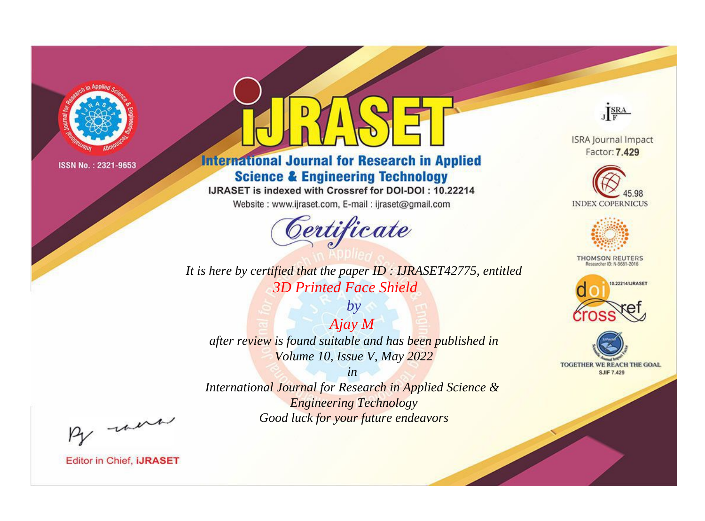

# **International Journal for Research in Applied Science & Engineering Technology**

IJRASET is indexed with Crossref for DOI-DOI: 10.22214

Website: www.ijraset.com, E-mail: ijraset@gmail.com



**ISRA Journal Impact** Factor: 7.429

JERA





**THOMSON REUTERS** 



TOGETHER WE REACH THE GOAL **SJIF 7.429** 

It is here by certified that the paper ID : IJRASET42775, entitled **3D Printed Face Shield** 

 $A$ jay  $M$ after review is found suitable and has been published in Volume 10, Issue V, May 2022

 $by$ 

 $in$ International Journal for Research in Applied Science & **Engineering Technology** Good luck for your future endeavors

By morn